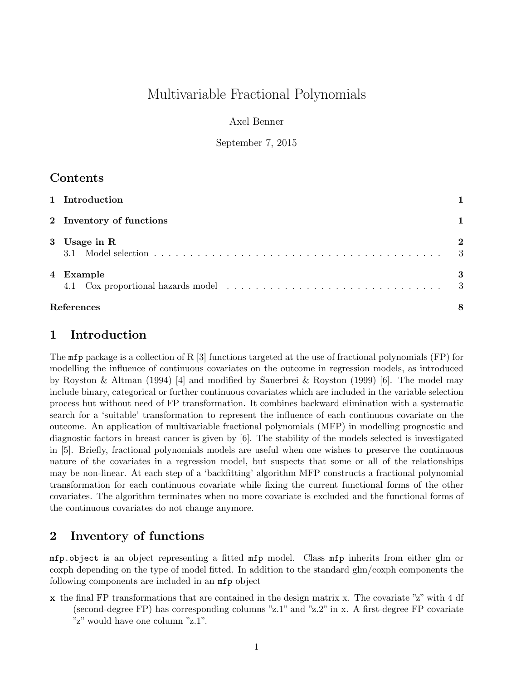# Multivariable Fractional Polynomials

Axel Benner

September 7, 2015

## Contents

| 1 Introduction           |                    |
|--------------------------|--------------------|
| 2 Inventory of functions |                    |
| 3 Usage in R             | $\mathbf{2}$<br>-3 |
| 4 Example<br>4.1         | 3<br>-3            |
| References               | 8                  |

### 1 Introduction

The mfp package is a collection of R [3] functions targeted at the use of fractional polynomials (FP) for modelling the influence of continuous covariates on the outcome in regression models, as introduced by Royston & Altman (1994) [4] and modified by Sauerbrei & Royston (1999) [6]. The model may include binary, categorical or further continuous covariates which are included in the variable selection process but without need of FP transformation. It combines backward elimination with a systematic search for a 'suitable' transformation to represent the influence of each continuous covariate on the outcome. An application of multivariable fractional polynomials (MFP) in modelling prognostic and diagnostic factors in breast cancer is given by [6]. The stability of the models selected is investigated in [5]. Briefly, fractional polynomials models are useful when one wishes to preserve the continuous nature of the covariates in a regression model, but suspects that some or all of the relationships may be non-linear. At each step of a 'backfitting' algorithm MFP constructs a fractional polynomial transformation for each continuous covariate while fixing the current functional forms of the other covariates. The algorithm terminates when no more covariate is excluded and the functional forms of the continuous covariates do not change anymore.

# 2 Inventory of functions

mfp.object is an object representing a fitted mfp model. Class mfp inherits from either glm or coxph depending on the type of model fitted. In addition to the standard glm/coxph components the following components are included in an mfp object

x the final FP transformations that are contained in the design matrix x. The covariate "z" with 4 df (second-degree FP) has corresponding columns "z.1" and "z.2" in x. A first-degree FP covariate "z" would have one column "z.1".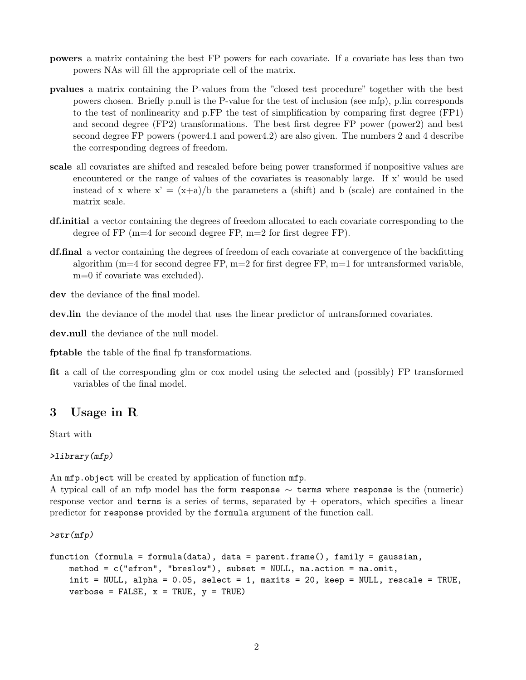- powers a matrix containing the best FP powers for each covariate. If a covariate has less than two powers NAs will fill the appropriate cell of the matrix.
- pvalues a matrix containing the P-values from the "closed test procedure" together with the best powers chosen. Briefly p.null is the P-value for the test of inclusion (see mfp), p.lin corresponds to the test of nonlinearity and p.FP the test of simplification by comparing first degree (FP1) and second degree (FP2) transformations. The best first degree FP power (power2) and best second degree FP powers (power4.1 and power4.2) are also given. The numbers 2 and 4 describe the corresponding degrees of freedom.
- scale all covariates are shifted and rescaled before being power transformed if nonpositive values are encountered or the range of values of the covariates is reasonably large. If x' would be used instead of x where  $x' = (x+a)/b$  the parameters a (shift) and b (scale) are contained in the matrix scale.
- df.initial a vector containing the degrees of freedom allocated to each covariate corresponding to the degree of FP  $(m=4$  for second degree FP,  $m=2$  for first degree FP).
- df.final a vector containing the degrees of freedom of each covariate at convergence of the backfitting algorithm ( $m=4$  for second degree FP,  $m=2$  for first degree FP,  $m=1$  for untransformed variable, m=0 if covariate was excluded).

dev the deviance of the final model.

dev.lin the deviance of the model that uses the linear predictor of untransformed covariates.

dev.null the deviance of the null model.

fptable the table of the final fp transformations.

fit a call of the corresponding glm or cox model using the selected and (possibly) FP transformed variables of the final model.

### 3 Usage in R

Start with

>library(mfp)

An  $mfp.$  object will be created by application of function  $mfp.$ 

A typical call of an mfp model has the form response  $\sim$  terms where response is the (numeric) response vector and terms is a series of terms, separated by  $+$  operators, which specifies a linear predictor for response provided by the formula argument of the function call.

>str(mfp)

```
function (formula = formula(data), data = parent.frame(), family = gaussian,
   method = c("efron", "breslow"), subset = NULL, na.action = na.omit,init = NULL, alpha = 0.05, select = 1, maxits = 20, keep = NULL, rescale = TRUE,
    verbose = FALSE, x = TRUE, y = TRUE)
```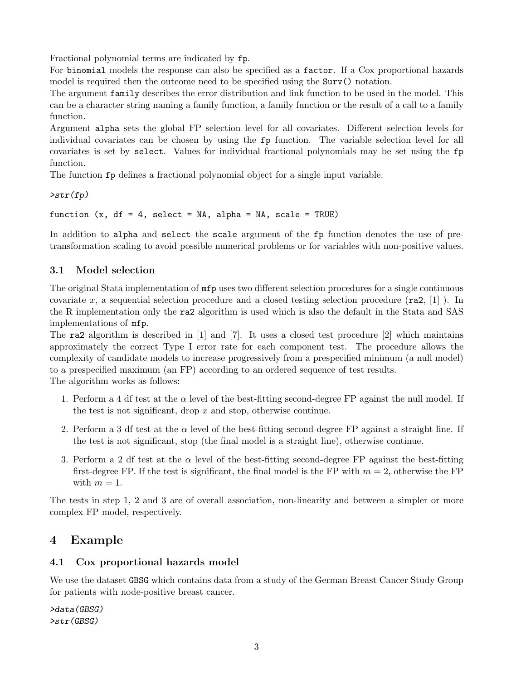Fractional polynomial terms are indicated by fp.

For binomial models the response can also be specified as a factor. If a Cox proportional hazards model is required then the outcome need to be specified using the  $Surv()$  notation.

The argument family describes the error distribution and link function to be used in the model. This can be a character string naming a family function, a family function or the result of a call to a family function.

Argument alpha sets the global FP selection level for all covariates. Different selection levels for individual covariates can be chosen by using the fp function. The variable selection level for all covariates is set by select. Values for individual fractional polynomials may be set using the fp function.

The function fp defines a fractional polynomial object for a single input variable.

 $\text{str}(fp)$ 

function  $(x, df = 4$ , select = NA, alpha = NA, scale = TRUE)

In addition to alpha and select the scale argument of the fp function denotes the use of pretransformation scaling to avoid possible numerical problems or for variables with non-positive values.

### 3.1 Model selection

The original Stata implementation of mfp uses two different selection procedures for a single continuous covariate x, a sequential selection procedure and a closed testing selection procedure  $(\text{ra2}, [1])$ . In the R implementation only the ra2 algorithm is used which is also the default in the Stata and SAS implementations of mfp.

The ra2 algorithm is described in  $[1]$  and  $[7]$ . It uses a closed test procedure  $[2]$  which maintains approximately the correct Type I error rate for each component test. The procedure allows the complexity of candidate models to increase progressively from a prespecified minimum (a null model) to a prespecified maximum (an FP) according to an ordered sequence of test results.

The algorithm works as follows:

- 1. Perform a 4 df test at the  $\alpha$  level of the best-fitting second-degree FP against the null model. If the test is not significant, drop  $x$  and stop, otherwise continue.
- 2. Perform a 3 df test at the  $\alpha$  level of the best-fitting second-degree FP against a straight line. If the test is not significant, stop (the final model is a straight line), otherwise continue.
- 3. Perform a 2 df test at the  $\alpha$  level of the best-fitting second-degree FP against the best-fitting first-degree FP. If the test is significant, the final model is the FP with  $m = 2$ , otherwise the FP with  $m = 1$ .

The tests in step 1, 2 and 3 are of overall association, non-linearity and between a simpler or more complex FP model, respectively.

# 4 Example

### 4.1 Cox proportional hazards model

We use the dataset GBSG which contains data from a study of the German Breast Cancer Study Group for patients with node-positive breast cancer.

>data(GBSG) >str(GBSG)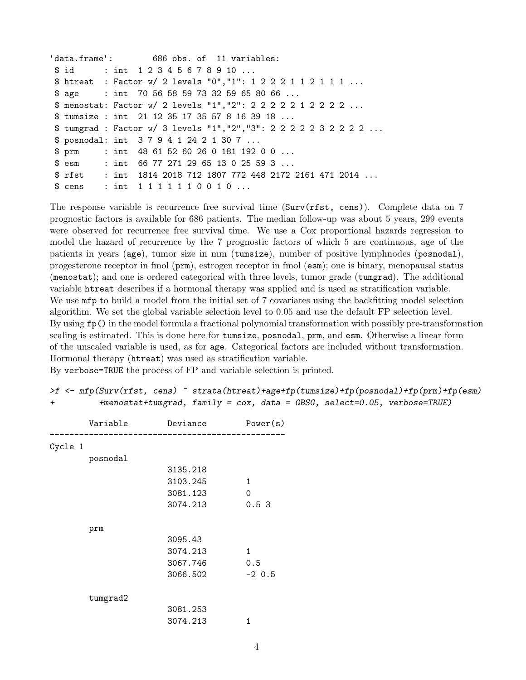```
'data.frame': 686 obs. of 11 variables:
$ id : int 1 2 3 4 5 6 7 8 9 10 ...
$ htreat : Factor w/ 2 levels "0","1": 1 2 2 2 1 1 2 1 1 1 ...
$ age : int 70 56 58 59 73 32 59 65 80 66 ...
$ menostat: Factor w/ 2 levels "1","2": 2 2 2 2 2 1 2 2 2 2 ...
$ tumsize : int 21 12 35 17 35 57 8 16 39 18 ...
$ tumgrad : Factor w/ 3 levels "1","2","3": 2 2 2 2 2 3 2 2 2 2 ...
$ posnodal: int 3 7 9 4 1 24 2 1 30 7 ...
$ prm : int 48 61 52 60 26 0 181 192 0 0 ...
$ esm : int 66 77 271 29 65 13 0 25 59 3 ...
$ rfst : int 1814 2018 712 1807 772 448 2172 2161 471 2014 ...
$ cens : int 1 1 1 1 1 1 0 0 1 0 ...
```
The response variable is recurrence free survival time  $(Surv(rfst, cens))$ . Complete data on 7 prognostic factors is available for 686 patients. The median follow-up was about 5 years, 299 events were observed for recurrence free survival time. We use a Cox proportional hazards regression to model the hazard of recurrence by the 7 prognostic factors of which 5 are continuous, age of the patients in years (age), tumor size in mm (tumsize), number of positive lymphnodes (posnodal), progesterone receptor in fmol (prm), estrogen receptor in fmol (esm); one is binary, menopausal status (menostat); and one is ordered categorical with three levels, tumor grade (tumgrad). The additional variable htreat describes if a hormonal therapy was applied and is used as stratification variable. We use  $mfp$  to build a model from the initial set of 7 covariates using the backfitting model selection algorithm. We set the global variable selection level to 0.05 and use the default FP selection level. By using fp() in the model formula a fractional polynomial transformation with possibly pre-transformation scaling is estimated. This is done here for tumsize, posnodal, prm, and esm. Otherwise a linear form of the unscaled variable is used, as for age. Categorical factors are included without transformation. Hormonal therapy (htreat) was used as stratification variable.

By verbose=TRUE the process of FP and variable selection is printed.

|   | >f <- mfp(Surv(rfst, cens) ~ strata(htreat)+age+fp(tumsize)+fp(posnodal)+fp(prm)+fp(esm) |  |  |
|---|------------------------------------------------------------------------------------------|--|--|
| ᅩ | $+$ menostat+tumgrad, family = $\cos$ , data = GBSG, select=0.05, verbose=TRUE)          |  |  |

|         | Variable | Deviance | Power(s) |
|---------|----------|----------|----------|
| Cycle 1 |          |          |          |
|         | posnodal |          |          |
|         |          | 3135.218 |          |
|         |          | 3103.245 | 1        |
|         |          | 3081.123 | $\Omega$ |
|         |          | 3074.213 | 0.53     |
|         | prm      |          |          |
|         |          | 3095.43  |          |
|         |          | 3074.213 | 1        |
|         |          | 3067.746 | 0.5      |
|         |          | 3066.502 | $-2$ 0.5 |
|         | tumgrad2 |          |          |
|         |          | 3081.253 |          |
|         |          | 3074.213 | 1        |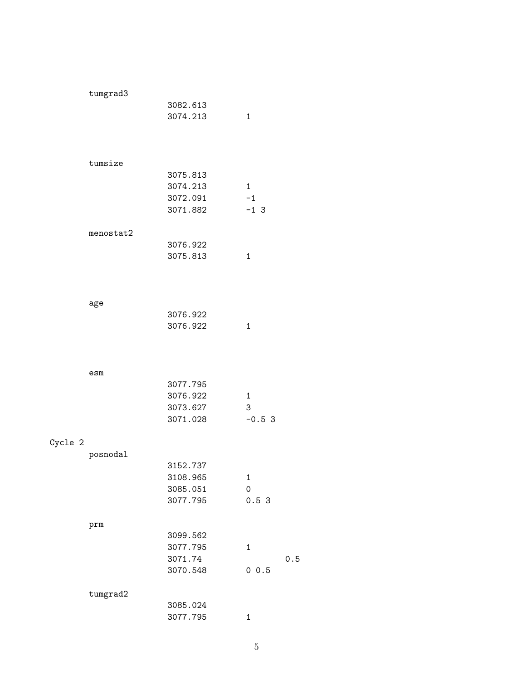|         | tumgrad3  |                     |              |
|---------|-----------|---------------------|--------------|
|         |           | 3082.613            |              |
|         |           | 3074.213            | 1            |
|         |           |                     |              |
|         |           |                     |              |
|         |           |                     |              |
|         | tumsize   | 3075.813            |              |
|         |           | 3074.213            | $\mathbf{1}$ |
|         |           | 3072.091            | $-1$         |
|         |           | 3071.882            | $-1$ 3       |
|         |           |                     |              |
|         | menostat2 |                     |              |
|         |           | 3076.922            |              |
|         |           | 3075.813            | $\mathbf{1}$ |
|         |           |                     |              |
|         |           |                     |              |
|         | age       |                     |              |
|         |           | 3076.922            |              |
|         |           | 3076.922            | $\mathbf{1}$ |
|         |           |                     |              |
|         |           |                     |              |
|         |           |                     |              |
|         | esm       |                     |              |
|         |           | 3077.795            |              |
|         |           | 3076.922            | 1            |
|         |           | 3073.627            | 3            |
|         |           | 3071.028            | $-0.53$      |
| Cycle 2 |           |                     |              |
|         | posnodal  |                     |              |
|         |           | 3152.737            |              |
|         |           | 3108.965            | 1            |
|         |           | 3085.051            | 0            |
|         |           | 3077.795            | 0.53         |
|         |           |                     |              |
|         | prm       | 3099.562            |              |
|         |           |                     |              |
|         |           | 3077.795<br>3071.74 | 1            |
|         |           | 3070.548            | 0 0.5        |
|         |           |                     |              |
|         | tumgrad2  |                     |              |
|         |           | 3085.024            |              |
|         |           | 3077.795            | 1            |

 $0.5$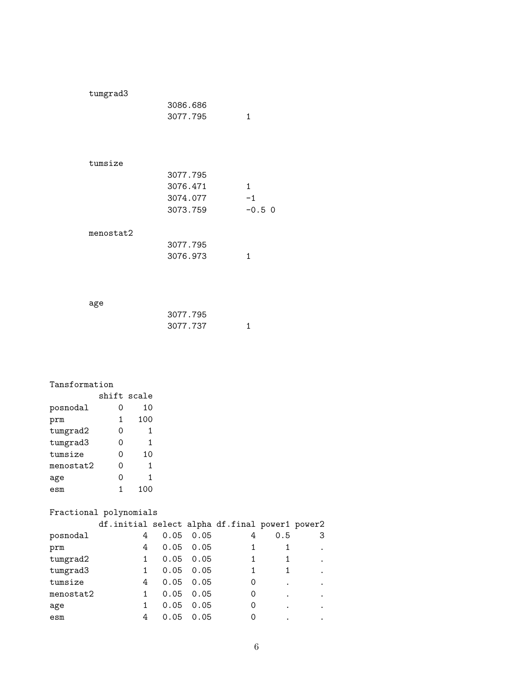| tumgrad3  |          |          |
|-----------|----------|----------|
|           | 3086.686 |          |
|           | 3077.795 | 1        |
|           |          |          |
|           |          |          |
|           |          |          |
| tumsize   |          |          |
|           | 3077.795 |          |
|           | 3076.471 | 1        |
|           | 3074.077 | $-1$     |
|           | 3073.759 | $-0.5$ 0 |
|           |          |          |
| menostat2 |          |          |
|           | 3077.795 |          |
|           | 3076.973 | 1        |
|           |          |          |
|           |          |          |
|           |          |          |

age

| 3077.795 |  |
|----------|--|
| 3077.737 |  |

#### Tansformation

|           | shift scale |      |
|-----------|-------------|------|
| posnodal  | 0           | 10   |
| prm       | 1           | 100  |
| tumgrad2  | ი           | 1    |
| tumgrad3  | ი           | 1    |
| tumsize   | Ω           | 10   |
| menostat2 | ი           | 1    |
| age       | ი           | 1    |
| esm       | 1           | 1.00 |

### Fractional polynomials

|           | df.initial select alpha df.final power1 power2 |      |                   |   |     |   |
|-----------|------------------------------------------------|------|-------------------|---|-----|---|
| posnodal  | 4                                              |      | $0.05 \quad 0.05$ | 4 | 0.5 | З |
| prm       | 4                                              |      | $0.05 \quad 0.05$ |   |     |   |
| tumgrad2  |                                                |      | $0.05 \quad 0.05$ |   |     |   |
| tumgrad3  |                                                |      | $0.05 \quad 0.05$ |   |     |   |
| tumsize   | 4                                              |      | $0.05 \quad 0.05$ | 0 |     |   |
| menostat2 |                                                |      | $0.05 \quad 0.05$ | 0 |     |   |
| age       |                                                | 0.05 | 0.05              | 0 |     |   |
| esm       | 4                                              | 0.05 | 0.05              | 0 |     |   |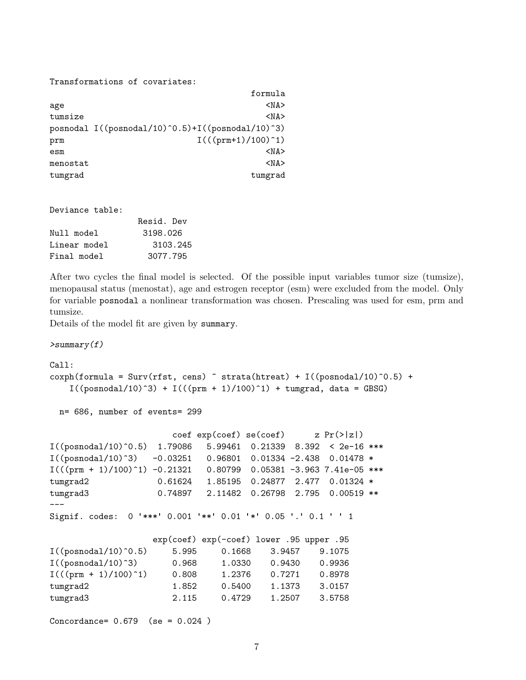Transformations of covariates:

|          | formula                                            |
|----------|----------------------------------------------------|
| age      | $<$ NA $>$                                         |
| tumsize  | $<$ NA $>$                                         |
|          | posnodal $I((posnodal/10)^0.5)+I((posnodal/10)^3)$ |
| prm      | $I((\text{prm+1})/100)^{-1})$                      |
| esm      | $<$ NA $>$                                         |
| menostat | $<$ NA $>$                                         |
| tumgrad  | tumgrad                                            |

Deviance table:

| Resid. Dev |
|------------|
| 3198.026   |
| 3103.245   |
| 3077.795   |
|            |

After two cycles the final model is selected. Of the possible input variables tumor size (tumsize), menopausal status (menostat), age and estrogen receptor (esm) were excluded from the model. Only for variable posnodal a nonlinear transformation was chosen. Prescaling was used for esm, prm and tumsize.

Details of the model fit are given by summary.

 $>$ summary $(f)$ 

```
Call:
coxph(formula = Surv(rfst, cens) \tilde{ } strata(htreat) + I((posnodal/10)\tilde{ }0.5) +
    I((posnodal/10)^3) + I(((prm + 1)/100)^1) + tungrad, data = GBSG)
```
n= 686, number of events= 299

```
\c{o} exp(coef) se(coef) z Pr(\ge |z|)I((posnodal/10)^0.5) 1.79086 5.99461 0.21339 8.392 < 2e-16 ***
I((posnodal/10)^3) -0.03251 0.96801 0.01334 -2.438 0.01478 *
I((\text{prm} + 1)/100)^{-1}) -0.21321 0.80799 0.05381 -3.963 7.41e-05 ***
tumgrad2 0.61624 1.85195 0.24877 2.477 0.01324 *
tumgrad3 0.74897 2.11482 0.26798 2.795 0.00519 **
---
Signif. codes: 0 '***' 0.001 '**' 0.01 '*' 0.05 '.' 0.1 ' ' 1
```

|                                  |       | exp(coef) exp(-coef) lower .95 upper .95 |        |        |
|----------------------------------|-------|------------------------------------------|--------|--------|
| $I((posnodal/10)^0.5)$           | 5.995 | 0.1668                                   | 3.9457 | 9.1075 |
| $I((posnodal/10)^3)$             | 0.968 | 1.0330                                   | 0.9430 | 0.9936 |
| $I(((\text{prm} + 1)/100)^{-1})$ | 0.808 | 1.2376                                   | 0.7271 | 0.8978 |
| tumgrad2                         | 1.852 | 0.5400                                   | 1.1373 | 3.0157 |
| tumgrad3                         | 2.115 | 0.4729                                   | 1.2507 | 3.5758 |

Concordance= 0.679 (se = 0.024 )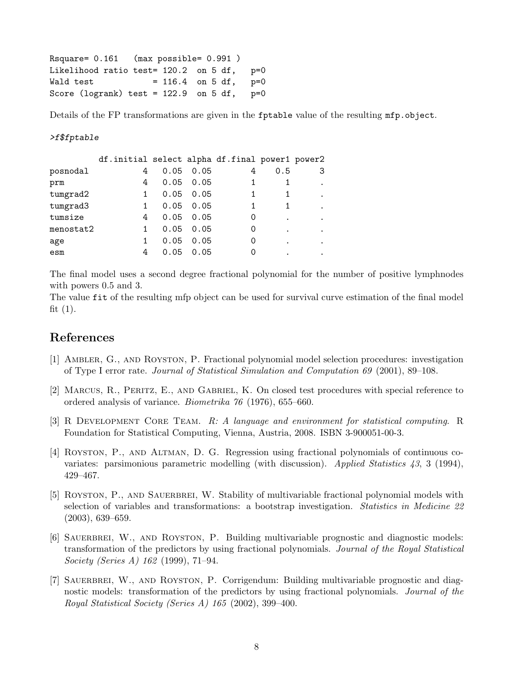```
Rsquare= 0.161 (max possible= 0.991 )
Likelihood ratio test= 120.2 on 5 df, p=0
Wald test = 116.4 on 5 df, p=0Score (logrank) test = 122.9 on 5 df, p=0
```
Details of the FP transformations are given in the fptable value of the resulting mfp.object.

#### >f\$fptable

|           | df.initial select alpha df.final power1 power2 |      |                   |   |     |         |
|-----------|------------------------------------------------|------|-------------------|---|-----|---------|
| posnodal  | 4                                              |      | $0.05 \quad 0.05$ | 4 | 0.5 |         |
| prm       | 4                                              |      | $0.05 \quad 0.05$ |   |     |         |
| tumgrad2  |                                                |      | $0.05 \quad 0.05$ |   |     | $\cdot$ |
| tumgrad3  |                                                |      | $0.05 \quad 0.05$ |   |     |         |
| tumsize   | 4                                              |      | $0.05 \quad 0.05$ | O |     |         |
| menostat2 |                                                |      | $0.05 \quad 0.05$ | 0 | ٠   | ٠       |
| age       |                                                | 0.05 | 0.05              | O |     |         |
| esm       | 4                                              | 0.05 | 0.05              |   |     |         |

The final model uses a second degree fractional polynomial for the number of positive lymphnodes with powers 0.5 and 3.

The value fit of the resulting mfp object can be used for survival curve estimation of the final model fit  $(1)$ .

## References

- [1] Ambler, G., and Royston, P. Fractional polynomial model selection procedures: investigation of Type I error rate. Journal of Statistical Simulation and Computation 69 (2001), 89–108.
- [2] Marcus, R., Peritz, E., and Gabriel, K. On closed test procedures with special reference to ordered analysis of variance. Biometrika 76 (1976), 655–660.
- [3] R Development Core Team. R: A language and environment for statistical computing. R Foundation for Statistical Computing, Vienna, Austria, 2008. ISBN 3-900051-00-3.
- [4] Royston, P., and Altman, D. G. Regression using fractional polynomials of continuous covariates: parsimonious parametric modelling (with discussion). Applied Statistics 43, 3 (1994), 429–467.
- [5] ROYSTON, P., AND SAUERBREI, W. Stability of multivariable fractional polynomial models with selection of variables and transformations: a bootstrap investigation. Statistics in Medicine 22 (2003), 639–659.
- [6] SAUERBREI, W., AND ROYSTON, P. Building multivariable prognostic and diagnostic models: transformation of the predictors by using fractional polynomials. Journal of the Royal Statistical Society (Series A) 162 (1999), 71–94.
- [7] Sauerbrei, W., and Royston, P. Corrigendum: Building multivariable prognostic and diagnostic models: transformation of the predictors by using fractional polynomials. *Journal of the* Royal Statistical Society (Series A) 165 (2002), 399–400.